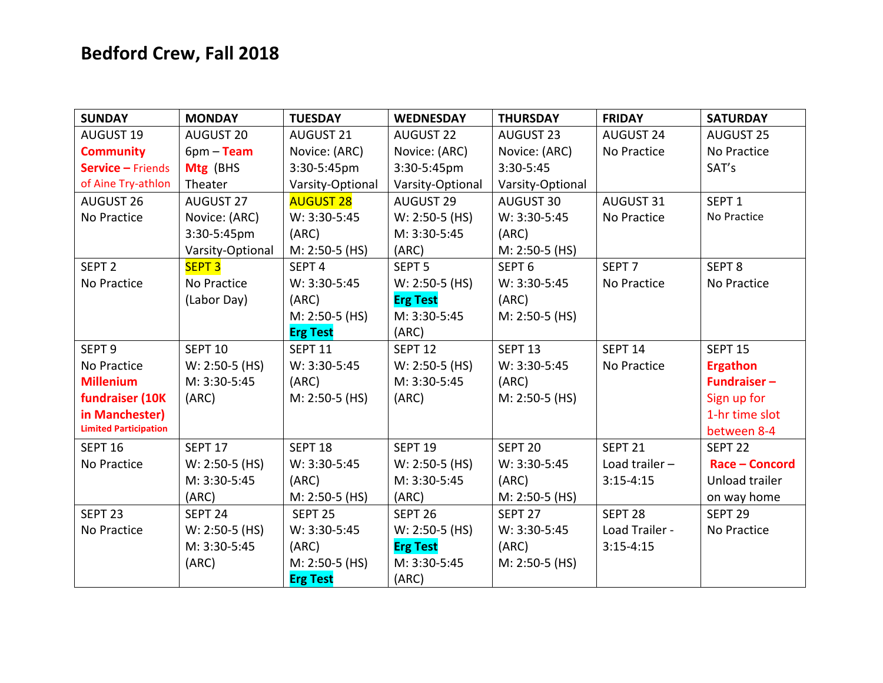## Bedford Crew, Fall 2018

| <b>SUNDAY</b>                | <b>MONDAY</b>      | <b>TUESDAY</b>     | <b>WEDNESDAY</b>   | <b>THURSDAY</b>    | <b>FRIDAY</b>      | <b>SATURDAY</b>    |
|------------------------------|--------------------|--------------------|--------------------|--------------------|--------------------|--------------------|
| <b>AUGUST 19</b>             | AUGUST 20          | <b>AUGUST 21</b>   | <b>AUGUST 22</b>   | <b>AUGUST 23</b>   | <b>AUGUST 24</b>   | <b>AUGUST 25</b>   |
| <b>Community</b>             | $6pm - Team$       | Novice: (ARC)      | Novice: (ARC)      | Novice: (ARC)      | No Practice        | No Practice        |
| <b>Service - Friends</b>     | Mtg (BHS           | 3:30-5:45pm        | 3:30-5:45pm        | 3:30-5:45          |                    | SAT's              |
| of Aine Try-athlon           | Theater            | Varsity-Optional   | Varsity-Optional   | Varsity-Optional   |                    |                    |
| <b>AUGUST 26</b>             | <b>AUGUST 27</b>   | <b>AUGUST 28</b>   | <b>AUGUST 29</b>   | AUGUST 30          | AUGUST 31          | SEPT <sub>1</sub>  |
| No Practice                  | Novice: (ARC)      | W: 3:30-5:45       | $W: 2:50-5$ (HS)   | W: 3:30-5:45       | No Practice        | No Practice        |
|                              | 3:30-5:45pm        | (ARC)              | M: 3:30-5:45       | (ARC)              |                    |                    |
|                              | Varsity-Optional   | M: 2:50-5 (HS)     | (ARC)              | M: 2:50-5 (HS)     |                    |                    |
| SEPT <sub>2</sub>            | <b>SEPT 3</b>      | SEPT <sub>4</sub>  | SEPT <sub>5</sub>  | SEPT <sub>6</sub>  | SEPT <sub>7</sub>  | SEPT <sub>8</sub>  |
| No Practice                  | No Practice        | W: 3:30-5:45       | $W: 2:50-5$ (HS)   | W: 3:30-5:45       | No Practice        | No Practice        |
|                              | (Labor Day)        | (ARC)              | <b>Erg Test</b>    | (ARC)              |                    |                    |
|                              |                    | $M: 2:50-5$ (HS)   | M: 3:30-5:45       | $M: 2:50-5$ (HS)   |                    |                    |
|                              |                    | <b>Erg Test</b>    | (ARC)              |                    |                    |                    |
| SEPT <sub>9</sub>            | <b>SEPT 10</b>     | SEPT <sub>11</sub> | <b>SEPT 12</b>     | SEPT <sub>13</sub> | SEPT <sub>14</sub> | SEPT <sub>15</sub> |
| No Practice                  | $W: 2:50-5$ (HS)   | W: 3:30-5:45       | $W: 2:50-5$ (HS)   | W: 3:30-5:45       | No Practice        | <b>Ergathon</b>    |
| <b>Millenium</b>             | M: 3:30-5:45       | (ARC)              | M: 3:30-5:45       | (ARC)              |                    | <b>Fundraiser-</b> |
| fundraiser (10K              | (ARC)              | M: 2:50-5 (HS)     | (ARC)              | $M: 2:50-5$ (HS)   |                    | Sign up for        |
| in Manchester)               |                    |                    |                    |                    |                    | 1-hr time slot     |
| <b>Limited Participation</b> |                    |                    |                    |                    |                    | between 8-4        |
| <b>SEPT 16</b>               | SEPT 17            | SEPT <sub>18</sub> | <b>SEPT 19</b>     | SEPT <sub>20</sub> | SEPT <sub>21</sub> | SEPT <sub>22</sub> |
| No Practice                  | $W: 2:50-5$ (HS)   | W: 3:30-5:45       | $W: 2:50-5$ (HS)   | W: 3:30-5:45       | Load trailer $-$   | Race - Concord     |
|                              | M: 3:30-5:45       | (ARC)              | M: 3:30-5:45       | (ARC)              | $3:15 - 4:15$      | Unload trailer     |
|                              | (ARC)              | M: 2:50-5 (HS)     | (ARC)              | M: 2:50-5 (HS)     |                    | on way home        |
| SEPT <sub>23</sub>           | SEPT <sub>24</sub> | SEPT <sub>25</sub> | SEPT <sub>26</sub> | SEPT <sub>27</sub> | SEPT <sub>28</sub> | SEPT <sub>29</sub> |
| No Practice                  | $W: 2:50-5$ (HS)   | W: 3:30-5:45       | $W: 2:50-5$ (HS)   | W: 3:30-5:45       | Load Trailer -     | No Practice        |
|                              | M: 3:30-5:45       | (ARC)              | <b>Erg Test</b>    | (ARC)              | $3:15 - 4:15$      |                    |
|                              | (ARC)              | M: 2:50-5 (HS)     | M: 3:30-5:45       | $M: 2:50-5$ (HS)   |                    |                    |
|                              |                    | <b>Erg Test</b>    | (ARC)              |                    |                    |                    |